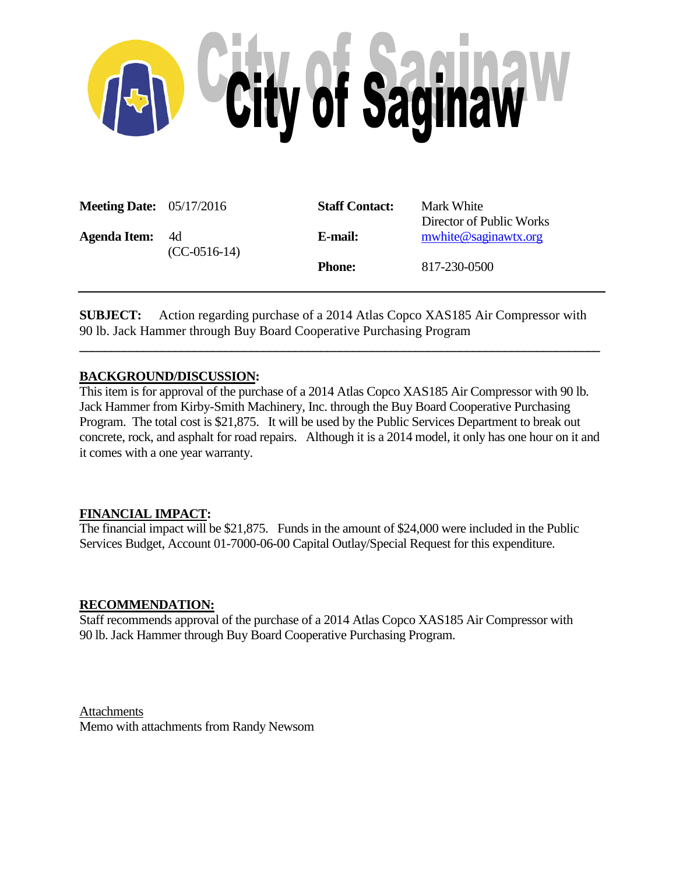

| <b>Meeting Date:</b> 05/17/2016 |                        | <b>Staff Contact:</b> | Mark White<br>Director of Public Works |
|---------------------------------|------------------------|-----------------------|----------------------------------------|
| <b>Agenda Item:</b>             | - 4d<br>$(CC-0516-14)$ | E-mail:               | mwhite@saginawtx.org                   |
|                                 |                        | <b>Phone:</b>         | 817-230-0500                           |

**SUBJECT:** Action regarding purchase of a 2014 Atlas Copco XAS185 Air Compressor with 90 lb. Jack Hammer through Buy Board Cooperative Purchasing Program

**\_\_\_\_\_\_\_\_\_\_\_\_\_\_\_\_\_\_\_\_\_\_\_\_\_\_\_\_\_\_\_\_\_\_\_\_\_\_\_\_\_\_\_\_\_\_\_\_\_\_\_\_\_\_\_\_\_\_\_\_\_\_\_\_\_\_\_\_\_\_\_\_\_\_\_\_\_\_\_\_\_\_**

## **BACKGROUND/DISCUSSION:**

This item is for approval of the purchase of a 2014 Atlas Copco XAS185 Air Compressor with 90 lb. Jack Hammer from Kirby-Smith Machinery, Inc. through the Buy Board Cooperative Purchasing Program. The total cost is \$21,875. It will be used by the Public Services Department to break out concrete, rock, and asphalt for road repairs. Although it is a 2014 model, it only has one hour on it and it comes with a one year warranty.

# **FINANCIAL IMPACT:**

The financial impact will be \$21,875. Funds in the amount of \$24,000 were included in the Public Services Budget, Account 01-7000-06-00 Capital Outlay/Special Request for this expenditure.

## **RECOMMENDATION:**

Staff recommends approval of the purchase of a 2014 Atlas Copco XAS185 Air Compressor with 90 lb. Jack Hammer through Buy Board Cooperative Purchasing Program.

Attachments Memo with attachments from Randy Newsom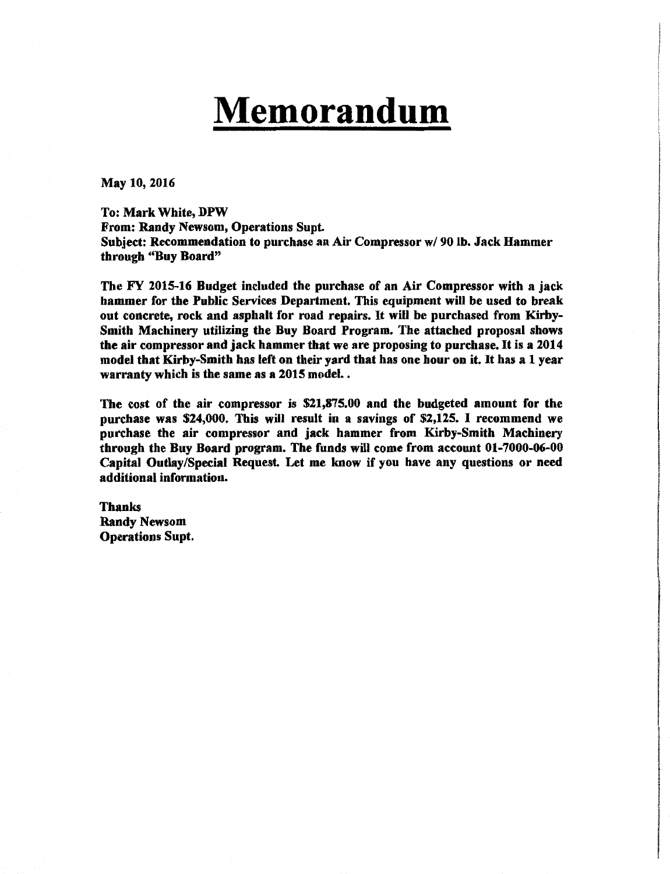# **Memorandum**

May 10,2016

To: Mark White, DPW From: Randy Newsom, Operations Supt. Subject: Recommendation to purchase an Air Compressor w/ 90 lb. Jack Hammer through "Buy Board"

The FY 2015·16 Budget included the purchase of an Air Compressor with a jack hammer for the Public Services Department. This equipment will be used to break out concrete, rock and asphalt for road repairs. It will be purchased from Kirby-Smith Machinery utilizing the Buy Board Program. The attached proposal shows the air compressor and jack hammer that we are proposing to purchase. It is a 2014 model that Kirby-Smith has left on their yard that has one hour on it. It has a 1 year warranty which is the same as a 2015 model..

The cost of the air compressor is \$21,875.00 and the budgeted amount for the purchase was \$24,000. This will result in a savings of \$2,125. I recommend we purchase the air compressor and jack hammer from Kirby·Smith Machinery through the Buy Board program. The funds will come from account 01-7000-06-00 Capital Outlay/Special Request. Let me know if you have any questions or need additional information.

Thanks Randy Newsom Operations Supt.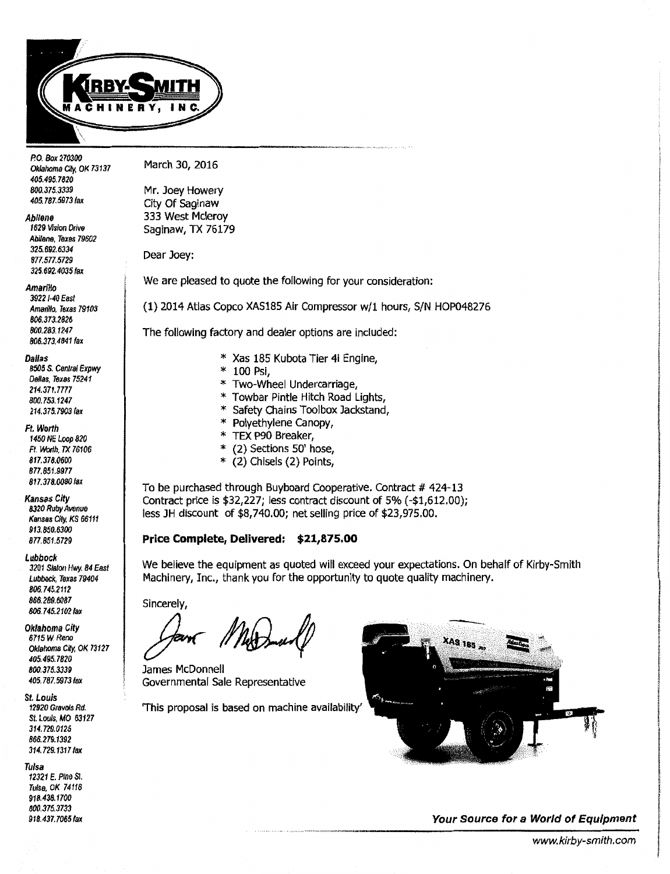

P.O. Box 270300 Oklahoma City. OK 73137 405.495. 7820 *800.375.3339 405.787.5973* fax

#### Abilene

1629 Vision Drive Abilene, Texas 79602 325.692.6334 877.577.5729 *325.692.4035* fax

Amarillo

3922 1·40 East Amarillo, Texas 79103 *806.373.2826 800.283.1247*  806.373.4841 fax

Dallas

*8505* S. *Central Expwy*  Dallas, Texas 75241 214.371.7777 800. 753.1247 214.375.7903 fax

Ft. Worth

1450 NE Loop 820 *Ft. Worth, TX 76106*  817.378.0600 877.851.9977 817.378.0080 fax

Kansas City *8320* Ruby Avenue Kansas City, KS 66111 *913.850.6300 877.851.5729* 

Lubbock 3201 Slaton Hwy. *84* East Lubbock, Texas 79404 *806.745.2112*  866.289.6087 *806.* 7 *45.2102* fax

Oklahoma City 6715W. Reno Oklahoma City, OK 73127 405.495. *7820 800.375.3339*  405.787.5973 fax

St. Louis 12920 *Gravois Rd.*  St. Louis, MO 63127 *314.729.0125 866.* 279.1392 314.729.1317 fax

Tulsa

12321 E. Pine St. Tulsa, OK *74118*  918.438. 1700 *800.375.3733*  918.437.7065 fax March 30, 2016

Mr. Joey Howery City Of Saginaw 333 West Mcleroy Saginaw, TX 76179

Dear Joey:

We are pleased to quote the following for your consideration:

(1) 2014 Atlas Copco XAS185 Air Compressor w/1 hours, S/N HOP048276

The following factory and dealer options are included:

- \* Xas 185 Kubota Tier 4i Engine,
- \* 100 Psi,
- \* Two-Wheel Undercarriage,
- Towbar Pintle Hitch Road Lights,
- \* Safety Chains Toolbox Jackstand,
- Polyethylene Canopy,
- \* TEX P90 Breaker,<br>\*  $(2)$  Sections  $50'$  b
- (2) Sections 50' hose,
- \* (2) Chisels (2) Points,

To be purchased through Buyboard Cooperative. Contract # 424-13 Contract price is \$32,227; less contract discount of 5% { -\$1,612.00); less JH discount of \$8,740.00; net selling price of \$23,975.00.

## **Price Complete, Delivered: \$21,875.00**

We believe the equipment as quoted will exceed your expectations. On behalf of Kirby-Smith Machinery, Inc., thank you for the opportunity to quote quality machinery.

Sincerely,

Sincerely,<br>Same Man And Some of Connections of the Connection of the Connection of the Connection of the Connection of the Connection of the Connection of the Connection of the Connection of the Connection of the Connecti

James McDonnell Governmental Sale Representative

'This proposal is based on machine availability'



**Your Source for a World of Equipment**  ------,-,.\_\_.,., \_ \_,,., .. ~"--<---------------------